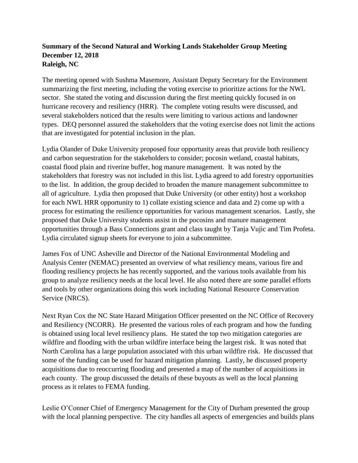## **Summary of the Second Natural and Working Lands Stakeholder Group Meeting December 12, 2018 Raleigh, NC**

The meeting opened with Sushma Masemore, Assistant Deputy Secretary for the Environment summarizing the first meeting, including the voting exercise to prioritize actions for the NWL sector. She stated the voting and discussion during the first meeting quickly focused in on hurricane recovery and resiliency (HRR). The complete voting results were discussed, and several stakeholders noticed that the results were limiting to various actions and landowner types. DEQ personnel assured the stakeholders that the voting exercise does not limit the actions that are investigated for potential inclusion in the plan.

Lydia Olander of Duke University proposed four opportunity areas that provide both resiliency and carbon sequestration for the stakeholders to consider; pocosin wetland, coastal habitats, coastal flood plain and riverine buffer, hog manure management. It was noted by the stakeholders that forestry was not included in this list. Lydia agreed to add forestry opportunities to the list. In addition, the group decided to broaden the manure management subcommittee to all of agriculture. Lydia then proposed that Duke University (or other entity) host a workshop for each NWL HRR opportunity to 1) collate existing science and data and 2) come up with a process for estimating the resilience opportunities for various management scenarios. Lastly, she proposed that Duke University students assist in the pocosins and manure management opportunities through a Bass Connections grant and class taught by Tanja Vujic and Tim Profeta. Lydia circulated signup sheets for everyone to join a subcommittee.

James Fox of UNC Asheville and Director of the National Environmental Modeling and Analysis Center (NEMAC) presented an overview of what resiliency means, various fire and flooding resiliency projects he has recently supported, and the various tools available from his group to analyze resiliency needs at the local level. He also noted there are some parallel efforts and tools by other organizations doing this work including National Resource Conservation Service (NRCS).

Next Ryan Cox the NC State Hazard Mitigation Officer presented on the NC Office of Recovery and Resiliency (NCORR). He presented the various roles of each program and how the funding is obtained using local level resiliency plans. He stated the top two mitigation categories are wildfire and flooding with the urban wildfire interface being the largest risk. It was noted that North Carolina has a large population associated with this urban wildfire risk. He discussed that some of the funding can be used for hazard mitigation planning. Lastly, he discussed property acquisitions due to reoccurring flooding and presented a map of the number of acquisitions in each county. The group discussed the details of these buyouts as well as the local planning process as it relates to FEMA funding.

Leslie O'Conner Chief of Emergency Management for the City of Durham presented the group with the local planning perspective. The city handles all aspects of emergencies and builds plans